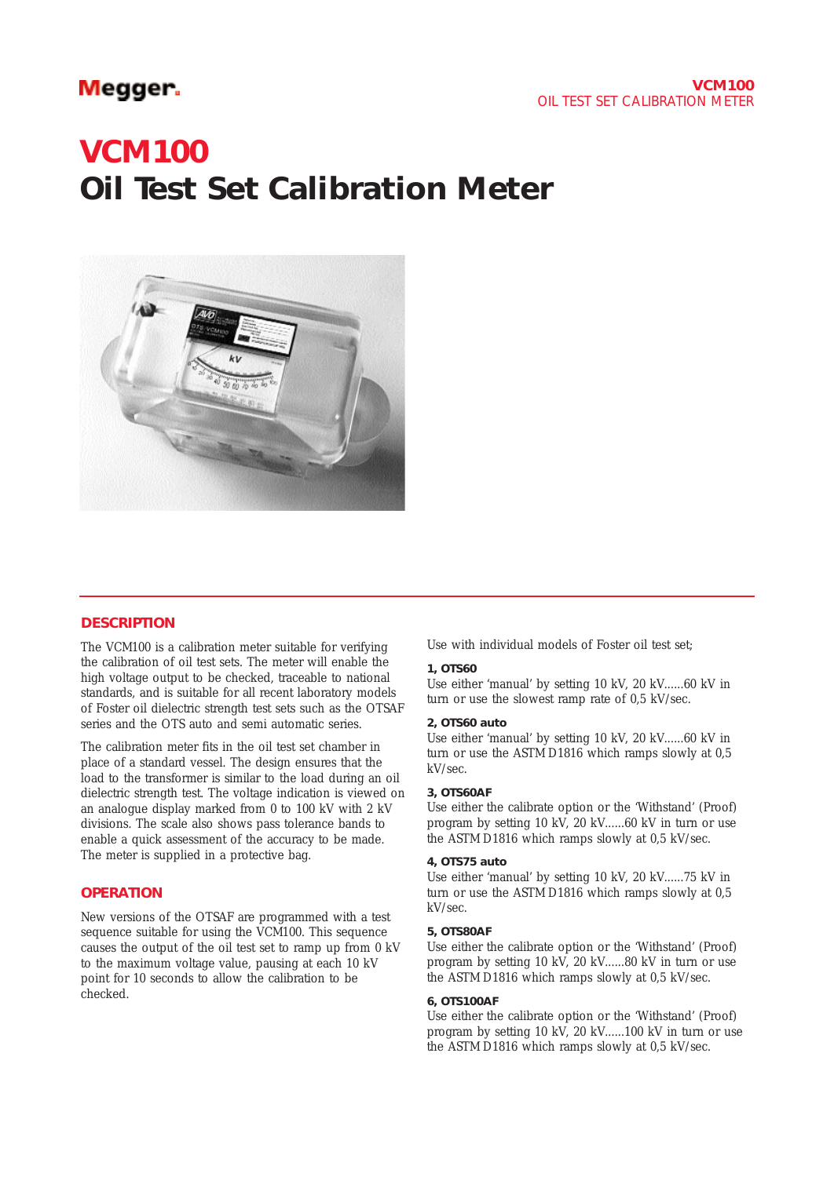# Megger.

# **VCM100 Oil Test Set Calibration Meter**



#### **DESCRIPTION**

The VCM100 is a calibration meter suitable for verifying the calibration of oil test sets. The meter will enable the high voltage output to be checked, traceable to national standards, and is suitable for all recent laboratory models of Foster oil dielectric strength test sets such as the OTSAF series and the OTS auto and semi automatic series.

The calibration meter fits in the oil test set chamber in place of a standard vessel. The design ensures that the load to the transformer is similar to the load during an oil dielectric strength test. The voltage indication is viewed on an analogue display marked from 0 to 100 kV with 2 kV divisions. The scale also shows pass tolerance bands to enable a quick assessment of the accuracy to be made. The meter is supplied in a protective bag.

### **OPERATION**

New versions of the OTSAF are programmed with a test sequence suitable for using the VCM100. This sequence causes the output of the oil test set to ramp up from 0 kV to the maximum voltage value, pausing at each 10 kV point for 10 seconds to allow the calibration to be checked.

Use with individual models of Foster oil test set;

#### **1, OTS60**

Use either 'manual' by setting 10 kV, 20 kV......60 kV in turn or use the slowest ramp rate of 0,5 kV/sec.

#### **2, OTS60 auto**

Use either 'manual' by setting 10 kV, 20 kV......60 kV in turn or use the ASTM D1816 which ramps slowly at 0,5 kV/sec.

#### **3, OTS60AF**

Use either the calibrate option or the 'Withstand' (Proof) program by setting 10 kV, 20 kV......60 kV in turn or use the ASTM D1816 which ramps slowly at 0,5 kV/sec.

#### **4, OTS75 auto**

Use either 'manual' by setting 10 kV, 20 kV......75 kV in turn or use the ASTM D1816 which ramps slowly at 0,5 kV/sec.

#### **5, OTS80AF**

Use either the calibrate option or the 'Withstand' (Proof) program by setting 10 kV, 20 kV......80 kV in turn or use the ASTM D1816 which ramps slowly at 0,5 kV/sec.

#### **6, OTS100AF**

Use either the calibrate option or the 'Withstand' (Proof) program by setting 10 kV, 20 kV......100 kV in turn or use the ASTM D1816 which ramps slowly at 0,5 kV/sec.